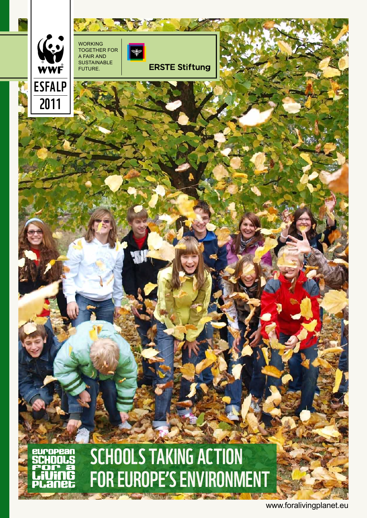

www.foralivingplanet.eu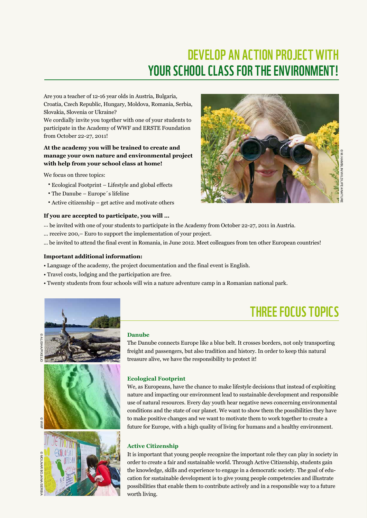# Develop an action project with YOUR SCHOOL CLASS FOR THE ENVIRONMENT!

Are you a teacher of 12-16 year olds in Austria, Bulgaria, Croatia, Czech Republic, Hungary, Moldova, Romania, Serbia, Slovakia, Slovenia or Ukraine?

We cordially invite you together with one of your students to participate in the Academy of WWF and ERSTE Foundation from October 22-27, 2011!

### **At the academy you will be trained to create and manage your own nature and environmental project with help from your school class at home!**

We focus on three topics:

- Ecological Footprint Lifestyle and global effects
- The Danube Europe´s lifeline
- Active citizenship get active and motivate others

### **If you are accepted to participate, you will …**

- ... be invited with one of your students to participate in the Academy from October 22-27, 2011 in Austria.
- ... receive 200,– Euro to support the implementation of your project.
- ... be invited to attend the final event in Romania, in June 2012. Meet colleagues from ten other European countries!

### **Important additional information:**

- Language of the academy, the project documentation and the final event is English.
- Travel costs, lodging and the participation are free.
- Twenty students from four schools will win a nature adventure camp in a Romanian national park.



# Three focus topics

#### **Danube**

The Danube connects Europe like a blue belt. It crosses borders, not only transporting freight and passengers, but also tradition and history. In order to keep this natural treasure alive, we have the responsibility to protect it!

### **Ecological Footprint**

We, as Europeans, have the chance to make lifestyle decisions that instead of exploiting nature and impacting our environment lead to sustainable development and responsible use of natural resources. Every day youth hear negative news concerning environmental conditions and the state of our planet. We want to show them the possibilities they have to make positive changes and we want to motivate them to work together to create a future for Europe, with a high quality of living for humans and a healthy environment.

### **Active Citizenship**

It is important that young people recognize the important role they can play in society in order to create a fair and sustainable world. Through Active Citizenship, students gain the knowledge, skills and experience to engage in a democratic society. The goal of education for sustainable development is to give young people competencies and illustrate possibilities that enable them to contribute actively and in a responsible way to a future worth living.

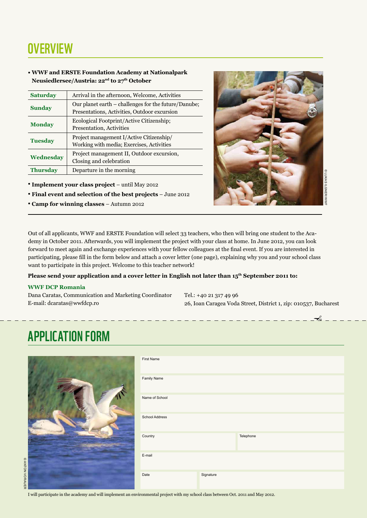## **OVERVIEW**

### **• WWF and ERSTE Foundation Academy at Nationalpark Neusiedlersee/Austria: 22nd to 27th October**

| <b>Saturday</b> | Arrival in the afternoon, Welcome, Activities                                                        |  |  |
|-----------------|------------------------------------------------------------------------------------------------------|--|--|
| <b>Sunday</b>   | Our planet earth – challenges for the future/Danube;<br>Presentations, Activities, Outdoor excursion |  |  |
| <b>Monday</b>   | Ecological Footprint/Active Citizenship;<br>Presentation, Activities                                 |  |  |
| <b>Tuesday</b>  | Project management I/Active Citizenship/<br>Working with media; Exercises, Activities                |  |  |
| Wednesday       | Project management II, Outdoor excursion,<br>Closing and celebration                                 |  |  |
| <b>Thursday</b> | Departure in the morning                                                                             |  |  |

- **• Implement your class project** until May 2012
- **• Final event and selection of the best projects** June 2012
- **• Camp for winning classes**  Autumn 2012



✁

Out of all applicants, WWF and ERSTE Foundation will select 33 teachers, who then will bring one student to the Academy in October 2011. Afterwards, you will implement the project with your class at home. In June 2012, you can look forward to meet again and exchange experiences with your fellow colleagues at the final event. If you are interested in participating, please fill in the form below and attach a cover letter (one page), explaining why you and your school class want to participate in this project. Welcome to this teacher network! <sup>212</sup><br>26, Buchers, who then will bring one student to the Aca-<br>26, Ioan Caragea Voda Street, District 1, zip: 010537, Bucharest<br>26, Ioan Caragea Voda Street, District 1, zip: 010537, Bucharest<br>26, Ioan Caragea Voda Street,

#### **Please send your application and a cover letter in English not later than 15th September 2011 to:**

#### **WWF DCP Romania**

Dana Caratas, Communication and Marketing Coordinator E-mail: dcaratas@wwfdcp.ro

Tel.: +40 21 317 49 96

## Application Form

| First Name     |           |           |
|----------------|-----------|-----------|
| Family Name    |           |           |
| Name of School |           |           |
| School Address |           |           |
| Country        |           | Telephone |
| E-mail         |           |           |
| Date           | Signature |           |